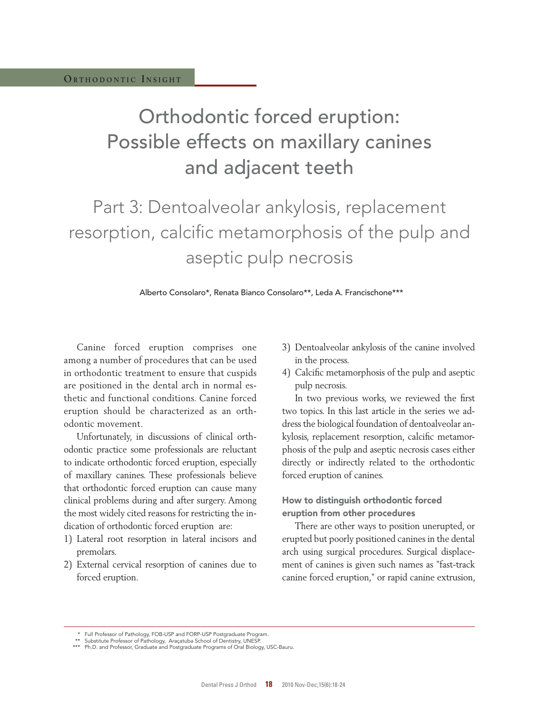# Orthodontic forced eruption: Possible effects on maxillary canines and adjacent teeth

# Part 3: Dentoalveolar ankylosis, replacement resorption, calcific metamorphosis of the pulp and aseptic pulp necrosis

Alberto Consolaro\*, Renata Bianco Consolaro\*\*, Leda A. Francischone\*\*\*

Canine forced eruption comprises one among a number of procedures that can be used in orthodontic treatment to ensure that cuspids are positioned in the dental arch in normal esthetic and functional conditions. Canine forced eruption should be characterized as an orthodontic movement.

Unfortunately, in discussions of clinical orthodontic practice some professionals are reluctant to indicate orthodontic forced eruption, especially of maxillary canines. These professionals believe that orthodontic forced eruption can cause many clinical problems during and after surgery. Among the most widely cited reasons for restricting the indication of orthodontic forced eruption are:

- 1) Lateral root resorption in lateral incisors and premolars.
- 2) External cervical resorption of canines due to forced eruption.
- 3) Dentoalveolar ankylosis of the canine involved in the process.
- 4) Calcific metamorphosis of the pulp and aseptic pulp necrosis.

In two previous works, we reviewed the first two topics. In this last article in the series we address the biological foundation of dentoalveolar ankylosis, replacement resorption, calcific metamorphosis of the pulp and aseptic necrosis cases either directly or indirectly related to the orthodontic forced eruption of canines.

## How to distinguish orthodontic forced eruption from other procedures

There are other ways to position unerupted, or erupted but poorly positioned canines in the dental arch using surgical procedures. Surgical displacement of canines is given such names as "fast-track canine forced eruption," or rapid canine extrusion,

 <sup>\*</sup> Full Professor of Pathology, FOB-USP and FORP-USP Postgraduate Program.

 <sup>\*\*</sup> Substitute Professor of Pathology, Araçatuba School of Dentistry, UNESP. \*\*\* Ph.D. and Professor, Graduate and Postgraduate Programs of Oral Biology, USC-Bauru.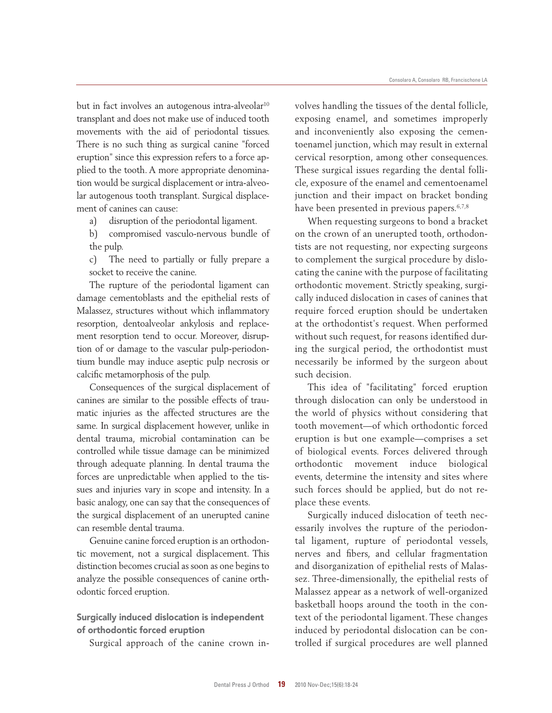but in fact involves an autogenous intra-alveolar<sup>10</sup> transplant and does not make use of induced tooth movements with the aid of periodontal tissues. There is no such thing as surgical canine "forced eruption" since this expression refers to a force applied to the tooth. A more appropriate denomination would be surgical displacement or intra-alveolar autogenous tooth transplant. Surgical displacement of canines can cause:

a) disruption of the periodontal ligament.

 b) compromised vasculo-nervous bundle of the pulp.

 c) The need to partially or fully prepare a socket to receive the canine.

The rupture of the periodontal ligament can damage cementoblasts and the epithelial rests of Malassez, structures without which inflammatory resorption, dentoalveolar ankylosis and replacement resorption tend to occur. Moreover, disruption of or damage to the vascular pulp-periodontium bundle may induce aseptic pulp necrosis or calcific metamorphosis of the pulp.

Consequences of the surgical displacement of canines are similar to the possible effects of traumatic injuries as the affected structures are the same. In surgical displacement however, unlike in dental trauma, microbial contamination can be controlled while tissue damage can be minimized through adequate planning. In dental trauma the forces are unpredictable when applied to the tissues and injuries vary in scope and intensity. In a basic analogy, one can say that the consequences of the surgical displacement of an unerupted canine can resemble dental trauma.

Genuine canine forced eruption is an orthodontic movement, not a surgical displacement. This distinction becomes crucial as soon as one begins to analyze the possible consequences of canine orthodontic forced eruption.

## Surgically induced dislocation is independent of orthodontic forced eruption

Surgical approach of the canine crown in-

volves handling the tissues of the dental follicle, exposing enamel, and sometimes improperly and inconveniently also exposing the cementoenamel junction, which may result in external cervical resorption, among other consequences. These surgical issues regarding the dental follicle, exposure of the enamel and cementoenamel junction and their impact on bracket bonding have been presented in previous papers.<sup>6,7,8</sup>

When requesting surgeons to bond a bracket on the crown of an unerupted tooth, orthodontists are not requesting, nor expecting surgeons to complement the surgical procedure by dislocating the canine with the purpose of facilitating orthodontic movement. Strictly speaking, surgically induced dislocation in cases of canines that require forced eruption should be undertaken at the orthodontist's request. When performed without such request, for reasons identified during the surgical period, the orthodontist must necessarily be informed by the surgeon about such decision.

This idea of "facilitating" forced eruption through dislocation can only be understood in the world of physics without considering that tooth movement—of which orthodontic forced eruption is but one example—comprises a set of biological events. Forces delivered through orthodontic movement induce biological events, determine the intensity and sites where such forces should be applied, but do not replace these events.

Surgically induced dislocation of teeth necessarily involves the rupture of the periodontal ligament, rupture of periodontal vessels, nerves and fibers, and cellular fragmentation and disorganization of epithelial rests of Malassez. Three-dimensionally, the epithelial rests of Malassez appear as a network of well-organized basketball hoops around the tooth in the context of the periodontal ligament. These changes induced by periodontal dislocation can be controlled if surgical procedures are well planned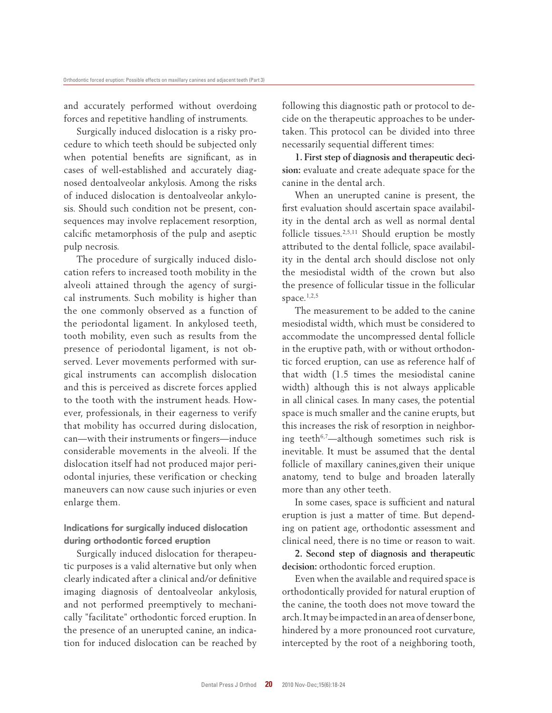and accurately performed without overdoing forces and repetitive handling of instruments.

Surgically induced dislocation is a risky procedure to which teeth should be subjected only when potential benefits are significant, as in cases of well-established and accurately diagnosed dentoalveolar ankylosis. Among the risks of induced dislocation is dentoalveolar ankylosis. Should such condition not be present, consequences may involve replacement resorption, calcific metamorphosis of the pulp and aseptic pulp necrosis.

The procedure of surgically induced dislocation refers to increased tooth mobility in the alveoli attained through the agency of surgical instruments. Such mobility is higher than the one commonly observed as a function of the periodontal ligament. In ankylosed teeth, tooth mobility, even such as results from the presence of periodontal ligament, is not observed. Lever movements performed with surgical instruments can accomplish dislocation and this is perceived as discrete forces applied to the tooth with the instrument heads. However, professionals, in their eagerness to verify that mobility has occurred during dislocation, can—with their instruments or fingers—induce considerable movements in the alveoli. If the dislocation itself had not produced major periodontal injuries, these verification or checking maneuvers can now cause such injuries or even enlarge them.

### Indications for surgically induced dislocation during orthodontic forced eruption

Surgically induced dislocation for therapeutic purposes is a valid alternative but only when clearly indicated after a clinical and/or definitive imaging diagnosis of dentoalveolar ankylosis, and not performed preemptively to mechanically "facilitate" orthodontic forced eruption. In the presence of an unerupted canine, an indication for induced dislocation can be reached by following this diagnostic path or protocol to decide on the therapeutic approaches to be undertaken. This protocol can be divided into three necessarily sequential different times:

**1. First step of diagnosis and therapeutic decision:** evaluate and create adequate space for the canine in the dental arch.

When an unerupted canine is present, the first evaluation should ascertain space availability in the dental arch as well as normal dental follicle tissues.2,5,11 Should eruption be mostly attributed to the dental follicle, space availability in the dental arch should disclose not only the mesiodistal width of the crown but also the presence of follicular tissue in the follicular space. $1,2,5$ 

The measurement to be added to the canine mesiodistal width, which must be considered to accommodate the uncompressed dental follicle in the eruptive path, with or without orthodontic forced eruption, can use as reference half of that width (1.5 times the mesiodistal canine width) although this is not always applicable in all clinical cases. In many cases, the potential space is much smaller and the canine erupts, but this increases the risk of resorption in neighboring teeth<sup>6,7</sup>—although sometimes such risk is inevitable. It must be assumed that the dental follicle of maxillary canines,given their unique anatomy, tend to bulge and broaden laterally more than any other teeth.

In some cases, space is sufficient and natural eruption is just a matter of time. But depending on patient age, orthodontic assessment and clinical need, there is no time or reason to wait.

**2. Second step of diagnosis and therapeutic decision:** orthodontic forced eruption.

Even when the available and required space is orthodontically provided for natural eruption of the canine, the tooth does not move toward the arch. It may be impacted in an area of denser bone, hindered by a more pronounced root curvature, intercepted by the root of a neighboring tooth,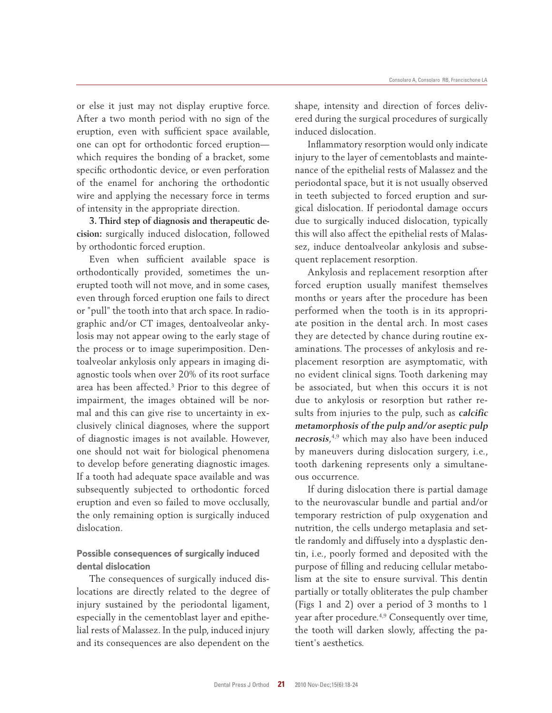or else it just may not display eruptive force. After a two month period with no sign of the eruption, even with sufficient space available, one can opt for orthodontic forced eruption which requires the bonding of a bracket, some specific orthodontic device, or even perforation of the enamel for anchoring the orthodontic wire and applying the necessary force in terms of intensity in the appropriate direction.

**3. Third step of diagnosis and therapeutic decision:** surgically induced dislocation, followed by orthodontic forced eruption.

Even when sufficient available space is orthodontically provided, sometimes the unerupted tooth will not move, and in some cases, even through forced eruption one fails to direct or "pull" the tooth into that arch space. In radiographic and/or CT images, dentoalveolar ankylosis may not appear owing to the early stage of the process or to image superimposition. Dentoalveolar ankylosis only appears in imaging diagnostic tools when over 20% of its root surface area has been affected.<sup>3</sup> Prior to this degree of impairment, the images obtained will be normal and this can give rise to uncertainty in exclusively clinical diagnoses, where the support of diagnostic images is not available. However, one should not wait for biological phenomena to develop before generating diagnostic images. If a tooth had adequate space available and was subsequently subjected to orthodontic forced eruption and even so failed to move occlusally, the only remaining option is surgically induced dislocation.

### Possible consequences of surgically induced dental dislocation

The consequences of surgically induced dislocations are directly related to the degree of injury sustained by the periodontal ligament, especially in the cementoblast layer and epithelial rests of Malassez. In the pulp, induced injury and its consequences are also dependent on the shape, intensity and direction of forces delivered during the surgical procedures of surgically induced dislocation.

Inflammatory resorption would only indicate injury to the layer of cementoblasts and maintenance of the epithelial rests of Malassez and the periodontal space, but it is not usually observed in teeth subjected to forced eruption and surgical dislocation. If periodontal damage occurs due to surgically induced dislocation, typically this will also affect the epithelial rests of Malassez, induce dentoalveolar ankylosis and subsequent replacement resorption.

Ankylosis and replacement resorption after forced eruption usually manifest themselves months or years after the procedure has been performed when the tooth is in its appropriate position in the dental arch. In most cases they are detected by chance during routine examinations. The processes of ankylosis and replacement resorption are asymptomatic, with no evident clinical signs. Tooth darkening may be associated, but when this occurs it is not due to ankylosis or resorption but rather results from injuries to the pulp, such as **calcific metamorphosis of the pulp and/or aseptic pulp necrosis**, 4,9 which may also have been induced by maneuvers during dislocation surgery, i.e., tooth darkening represents only a simultaneous occurrence.

If during dislocation there is partial damage to the neurovascular bundle and partial and/or temporary restriction of pulp oxygenation and nutrition, the cells undergo metaplasia and settle randomly and diffusely into a dysplastic dentin, i.e., poorly formed and deposited with the purpose of filling and reducing cellular metabolism at the site to ensure survival. This dentin partially or totally obliterates the pulp chamber (Figs 1 and 2) over a period of 3 months to 1 year after procedure.4,9 Consequently over time, the tooth will darken slowly, affecting the patient's aesthetics.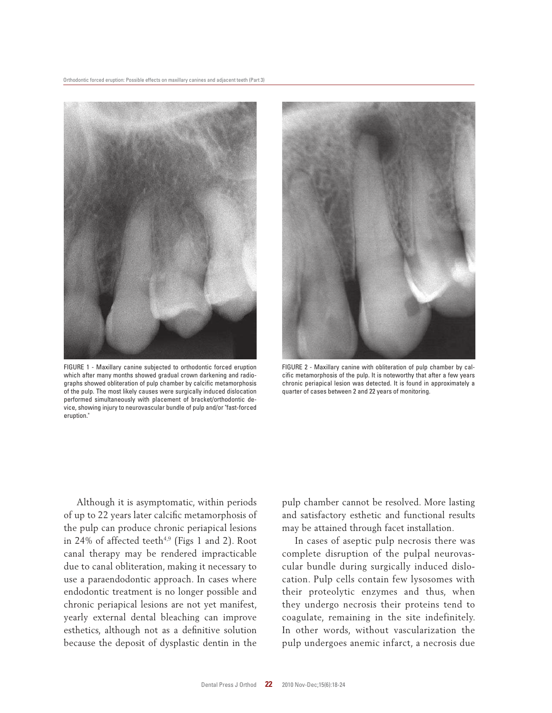

FIGURE 1 - Maxillary canine subjected to orthodontic forced eruption which after many months showed gradual crown darkening and radiographs showed obliteration of pulp chamber by calcific metamorphosis of the pulp. The most likely causes were surgically induced dislocation performed simultaneously with placement of bracket/orthodontic device, showing injury to neurovascular bundle of pulp and/or "fast-forced eruption."



FIGURE 2 - Maxillary canine with obliteration of pulp chamber by calcific metamorphosis of the pulp. It is noteworthy that after a few years chronic periapical lesion was detected. It is found in approximately a quarter of cases between 2 and 22 years of monitoring.

Although it is asymptomatic, within periods of up to 22 years later calcific metamorphosis of the pulp can produce chronic periapical lesions in 24% of affected teeth<sup>4,9</sup> (Figs 1 and 2). Root canal therapy may be rendered impracticable due to canal obliteration, making it necessary to use a paraendodontic approach. In cases where endodontic treatment is no longer possible and chronic periapical lesions are not yet manifest, yearly external dental bleaching can improve esthetics, although not as a definitive solution because the deposit of dysplastic dentin in the pulp chamber cannot be resolved. More lasting and satisfactory esthetic and functional results may be attained through facet installation.

In cases of aseptic pulp necrosis there was complete disruption of the pulpal neurovascular bundle during surgically induced dislocation. Pulp cells contain few lysosomes with their proteolytic enzymes and thus, when they undergo necrosis their proteins tend to coagulate, remaining in the site indefinitely. In other words, without vascularization the pulp undergoes anemic infarct, a necrosis due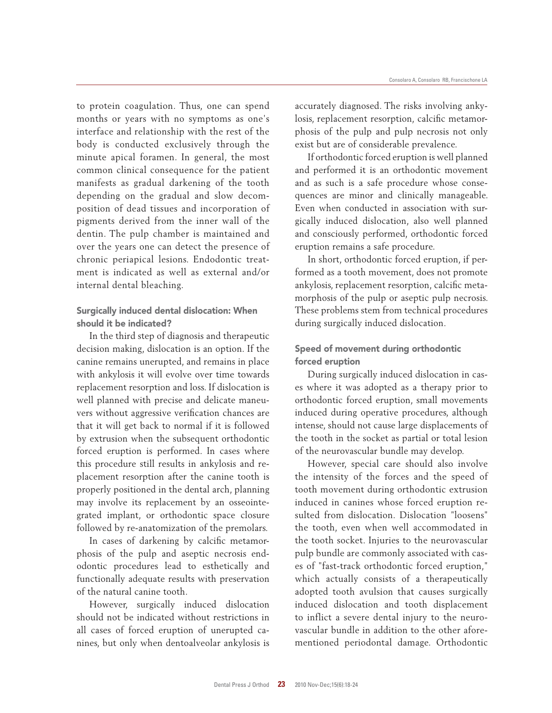to protein coagulation. Thus, one can spend months or years with no symptoms as one's interface and relationship with the rest of the body is conducted exclusively through the minute apical foramen. In general, the most common clinical consequence for the patient manifests as gradual darkening of the tooth depending on the gradual and slow decomposition of dead tissues and incorporation of pigments derived from the inner wall of the dentin. The pulp chamber is maintained and over the years one can detect the presence of chronic periapical lesions. Endodontic treatment is indicated as well as external and/or internal dental bleaching.

## Surgically induced dental dislocation: When should it be indicated?

In the third step of diagnosis and therapeutic decision making, dislocation is an option. If the canine remains unerupted, and remains in place with ankylosis it will evolve over time towards replacement resorption and loss. If dislocation is well planned with precise and delicate maneuvers without aggressive verification chances are that it will get back to normal if it is followed by extrusion when the subsequent orthodontic forced eruption is performed. In cases where this procedure still results in ankylosis and replacement resorption after the canine tooth is properly positioned in the dental arch, planning may involve its replacement by an osseointegrated implant, or orthodontic space closure followed by re-anatomization of the premolars.

In cases of darkening by calcific metamorphosis of the pulp and aseptic necrosis endodontic procedures lead to esthetically and functionally adequate results with preservation of the natural canine tooth.

However, surgically induced dislocation should not be indicated without restrictions in all cases of forced eruption of unerupted canines, but only when dentoalveolar ankylosis is

accurately diagnosed. The risks involving ankylosis, replacement resorption, calcific metamorphosis of the pulp and pulp necrosis not only exist but are of considerable prevalence.

If orthodontic forced eruption is well planned and performed it is an orthodontic movement and as such is a safe procedure whose consequences are minor and clinically manageable. Even when conducted in association with surgically induced dislocation, also well planned and consciously performed, orthodontic forced eruption remains a safe procedure.

In short, orthodontic forced eruption, if performed as a tooth movement, does not promote ankylosis, replacement resorption, calcific metamorphosis of the pulp or aseptic pulp necrosis. These problems stem from technical procedures during surgically induced dislocation.

## Speed of movement during orthodontic forced eruption

During surgically induced dislocation in cases where it was adopted as a therapy prior to orthodontic forced eruption, small movements induced during operative procedures, although intense, should not cause large displacements of the tooth in the socket as partial or total lesion of the neurovascular bundle may develop.

However, special care should also involve the intensity of the forces and the speed of tooth movement during orthodontic extrusion induced in canines whose forced eruption resulted from dislocation. Dislocation "loosens" the tooth, even when well accommodated in the tooth socket. Injuries to the neurovascular pulp bundle are commonly associated with cases of "fast-track orthodontic forced eruption," which actually consists of a therapeutically adopted tooth avulsion that causes surgically induced dislocation and tooth displacement to inflict a severe dental injury to the neurovascular bundle in addition to the other aforementioned periodontal damage. Orthodontic